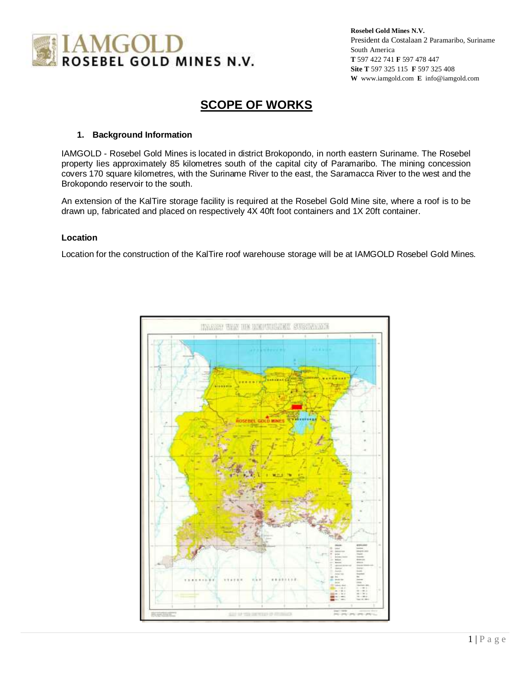

# **SCOPE OF WORKS**

# **1. Background Information**

IAMGOLD - Rosebel Gold Mines is located in district Brokopondo, in north eastern Suriname. The Rosebel property lies approximately 85 kilometres south of the capital city of Paramaribo. The mining concession covers 170 square kilometres, with the Suriname River to the east, the Saramacca River to the west and the Brokopondo reservoir to the south.

An extension of the KalTire storage facility is required at the Rosebel Gold Mine site, where a roof is to be drawn up, fabricated and placed on respectively 4X 40ft foot containers and 1X 20ft container.

#### **Location**

Location for the construction of the KalTire roof warehouse storage will be at IAMGOLD Rosebel Gold Mines.

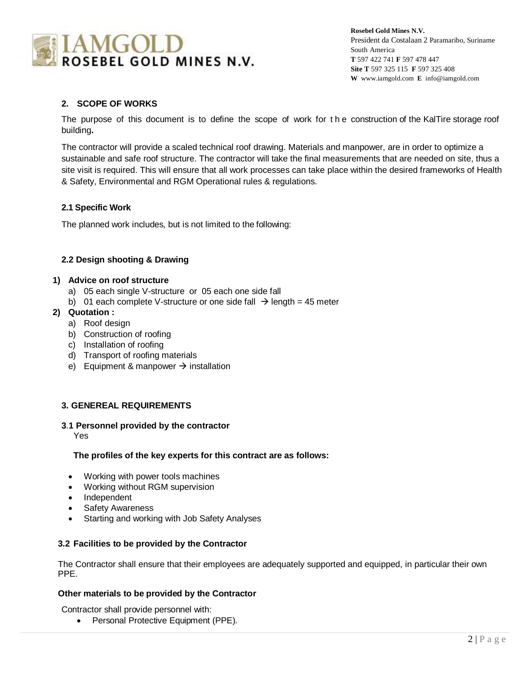

# **2. SCOPE OF WORKS**

The purpose of this document is to define the scope of work for t h e construction of the KalTire storage roof building**.** 

The contractor will provide a scaled technical roof drawing. Materials and manpower, are in order to optimize a sustainable and safe roof structure. The contractor will take the final measurements that are needed on site, thus a site visit is required. This will ensure that all work processes can take place within the desired frameworks of Health & Safety, Environmental and RGM Operational rules & regulations.

# **2.1 Specific Work**

The planned work includes, but is not limited to the following:

# **2.2 Design shooting & Drawing**

# **1) Advice on roof structure**

- a) 05 each single V-structure or 05 each one side fall
- b) 01 each complete V-structure or one side fall  $\rightarrow$  length = 45 meter

# **2) Quotation :**

- a) Roof design
- b) Construction of roofing
- c) Installation of roofing
- d) Transport of roofing materials
- e) Equipment & manpower  $\rightarrow$  installation

# **3. GENEREAL REQUIREMENTS**

#### **3**.**1 Personnel provided by the contractor**

Yes

# **The profiles of the key experts for this contract are as follows:**

- Working with power tools machines
- Working without RGM supervision
- Independent
- Safety Awareness
- Starting and working with Job Safety Analyses

#### **3.2 Facilities to be provided by the Contractor**

The Contractor shall ensure that their employees are adequately supported and equipped, in particular their own PPE.

#### **Other materials to be provided by the Contractor**

Contractor shall provide personnel with:

• Personal Protective Equipment (PPE).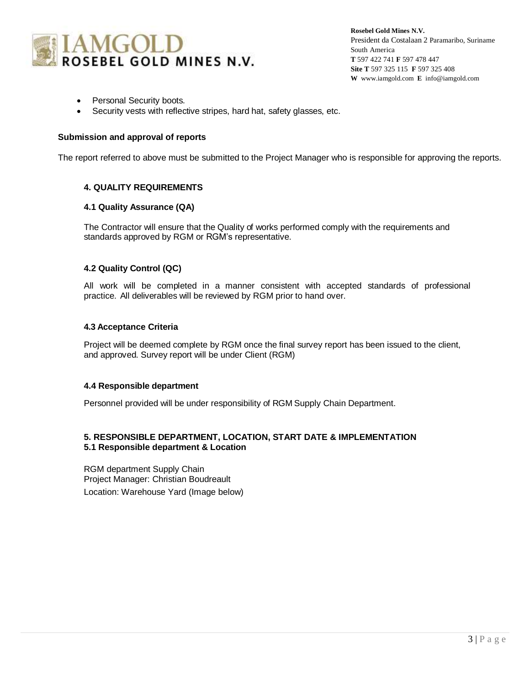

- Personal Security boots.
- Security vests with reflective stripes, hard hat, safety glasses, etc.

#### **Submission and approval of reports**

The report referred to above must be submitted to the Project Manager who is responsible for approving the reports.

# **4. QUALITY REQUIREMENTS**

#### **4.1 Quality Assurance (QA)**

The Contractor will ensure that the Quality of works performed comply with the requirements and standards approved by RGM or RGM's representative.

# **4.2 Quality Control (QC)**

All work will be completed in a manner consistent with accepted standards of professional practice. All deliverables will be reviewed by RGM prior to hand over.

#### **4.3 Acceptance Criteria**

Project will be deemed complete by RGM once the final survey report has been issued to the client, and approved. Survey report will be under Client (RGM)

#### **4.4 Responsible department**

Personnel provided will be under responsibility of RGM Supply Chain Department.

# **5. RESPONSIBLE DEPARTMENT, LOCATION, START DATE & IMPLEMENTATION 5.1 Responsible department & Location**

RGM department Supply Chain Project Manager: Christian Boudreault Location: Warehouse Yard (Image below)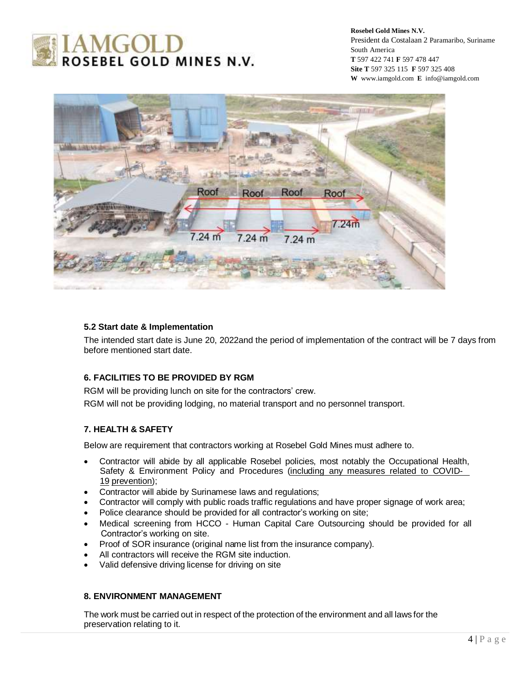



# **5.2 Start date & Implementation**

The intended start date is June 20, 2022and the period of implementation of the contract will be 7 days from before mentioned start date.

# **6. FACILITIES TO BE PROVIDED BY RGM**

RGM will be providing lunch on site for the contractors' crew.

RGM will not be providing lodging, no material transport and no personnel transport.

#### **7. HEALTH & SAFETY**

Below are requirement that contractors working at Rosebel Gold Mines must adhere to.

- Contractor will abide by all applicable Rosebel policies, most notably the Occupational Health, Safety & Environment Policy and Procedures (including any measures related to COVID-19 prevention);
- Contractor will abide by Surinamese laws and regulations;
- Contractor will comply with public roads traffic regulations and have proper signage of work area;
- Police clearance should be provided for all contractor's working on site;
- Medical screening from HCCO Human Capital Care Outsourcing should be provided for all Contractor's working on site.
- Proof of SOR insurance (original name list from the insurance company).
- All contractors will receive the RGM site induction.
- Valid defensive driving license for driving on site

# **8. ENVIRONMENT MANAGEMENT**

The work must be carried out in respect of the protection of the environment and all laws for the preservation relating to it.